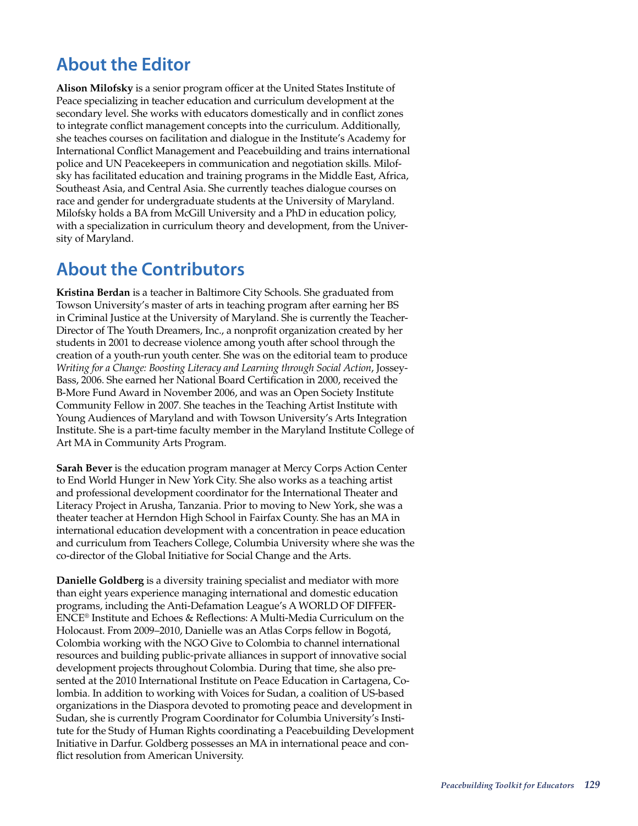## **About the Editor**

**Alison Milofsky** is a senior program officer at the United States Institute of Peace specializing in teacher education and curriculum development at the secondary level. She works with educators domestically and in conflict zones to integrate conflict management concepts into the curriculum. Additionally, she teaches courses on facilitation and dialogue in the Institute's Academy for International Conflict Management and Peacebuilding and trains international police and UN Peacekeepers in communication and negotiation skills. Milofsky has facilitated education and training programs in the Middle East, Africa, Southeast Asia, and Central Asia. She currently teaches dialogue courses on race and gender for undergraduate students at the University of Maryland. Milofsky holds a BA from McGill University and a PhD in education policy, with a specialization in curriculum theory and development, from the University of Maryland.

## **About the Contributors**

**Kristina Berdan** is a teacher in Baltimore City Schools. She graduated from Towson University's master of arts in teaching program after earning her BS in Criminal Justice at the University of Maryland. She is currently the Teacher-Director of The Youth Dreamers, Inc., a nonprofit organization created by her students in 2001 to decrease violence among youth after school through the creation of a youth-run youth center. She was on the editorial team to produce *Writing for a Change: Boosting Literacy and Learning through Social Action*, Jossey-Bass, 2006. She earned her National Board Certification in 2000, received the B-More Fund Award in November 2006, and was an Open Society Institute Community Fellow in 2007. She teaches in the Teaching Artist Institute with Young Audiences of Maryland and with Towson University's Arts Integration Institute. She is a part-time faculty member in the Maryland Institute College of Art MA in Community Arts Program.

**Sarah Bever** is the education program manager at Mercy Corps Action Center to End World Hunger in New York City. She also works as a teaching artist and professional development coordinator for the International Theater and Literacy Project in Arusha, Tanzania. Prior to moving to New York, she was a theater teacher at Herndon High School in Fairfax County. She has an MA in international education development with a concentration in peace education and curriculum from Teachers College, Columbia University where she was the co-director of the Global Initiative for Social Change and the Arts.

**Danielle Goldberg** is a diversity training specialist and mediator with more than eight years experience managing international and domestic education programs, including the Anti-Defamation League's A WORLD OF DIFFER-ENCE® Institute and Echoes & Reflections: A Multi-Media Curriculum on the Holocaust. From 2009–2010, Danielle was an Atlas Corps fellow in Bogotá, Colombia working with the NGO Give to Colombia to channel international resources and building public-private alliances in support of innovative social development projects throughout Colombia. During that time, she also presented at the 2010 International Institute on Peace Education in Cartagena, Colombia. In addition to working with Voices for Sudan, a coalition of US-based organizations in the Diaspora devoted to promoting peace and development in Sudan, she is currently Program Coordinator for Columbia University's Institute for the Study of Human Rights coordinating a Peacebuilding Development Initiative in Darfur. Goldberg possesses an MA in international peace and conflict resolution from American University.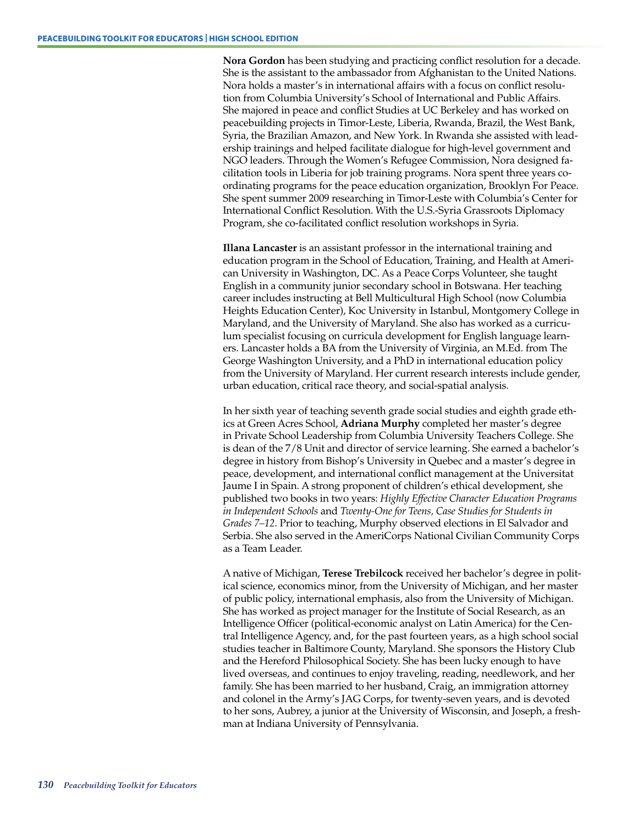**Nora Gordon** has been studying and practicing conflict resolution for a decade. She is the assistant to the ambassador from Afghanistan to the United Nations. Nora holds a master's in international affairs with a focus on conflict resolution from Columbia University's School of International and Public Affairs. She majored in peace and conflict Studies at UC Berkeley and has worked on peacebuilding projects in Timor-Leste, Liberia, Rwanda, Brazil, the West Bank, Syria, the Brazilian Amazon, and New York. In Rwanda she assisted with leadership trainings and helped facilitate dialogue for high-level government and NGO leaders. Through the Women's Refugee Commission, Nora designed facilitation tools in Liberia for job training programs. Nora spent three years coordinating programs for the peace education organization, Brooklyn For Peace. She spent summer 2009 researching in Timor-Leste with Columbia's Center for International Conflict Resolution. With the U.S.-Syria Grassroots Diplomacy Program, she co-facilitated conflict resolution workshops in Syria.

**Illana Lancaster** is an assistant professor in the international training and education program in the School of Education, Training, and Health at American University in Washington, DC. As a Peace Corps Volunteer, she taught English in a community junior secondary school in Botswana. Her teaching career includes instructing at Bell Multicultural High School (now Columbia Heights Education Center), Koc University in Istanbul, Montgomery College in Maryland, and the University of Maryland. She also has worked as a curriculum specialist focusing on curricula development for English language learners. Lancaster holds a BA from the University of Virginia, an M.Ed. from The George Washington University, and a PhD in international education policy from the University of Maryland. Her current research interests include gender, urban education, critical race theory, and social-spatial analysis.

In her sixth year of teaching seventh grade social studies and eighth grade ethics at Green Acres School, **Adriana Murphy** completed her master's degree in Private School Leadership from Columbia University Teachers College. She is dean of the 7/8 Unit and director of service learning. She earned a bachelor's degree in history from Bishop's University in Quebec and a master's degree in peace, development, and international conflict management at the Universitat Jaume I in Spain. A strong proponent of children's ethical development, she published two books in two years: *Highly Effective Character Education Programs in Independent Schools* and *Twenty-One for Teens, Case Studies for Students in Grades 7–12*. Prior to teaching, Murphy observed elections in El Salvador and Serbia. She also served in the AmeriCorps National Civilian Community Corps as a Team Leader.

A native of Michigan, **Terese Trebilcock** received her bachelor's degree in political science, economics minor, from the University of Michigan, and her master of public policy, international emphasis, also from the University of Michigan. She has worked as project manager for the Institute of Social Research, as an Intelligence Officer (political-economic analyst on Latin America) for the Central Intelligence Agency, and, for the past fourteen years, as a high school social studies teacher in Baltimore County, Maryland. She sponsors the History Club and the Hereford Philosophical Society. She has been lucky enough to have lived overseas, and continues to enjoy traveling, reading, needlework, and her family. She has been married to her husband, Craig, an immigration attorney and colonel in the Army's JAG Corps, for twenty-seven years, and is devoted to her sons, Aubrey, a junior at the University of Wisconsin, and Joseph, a freshman at Indiana University of Pennsylvania.